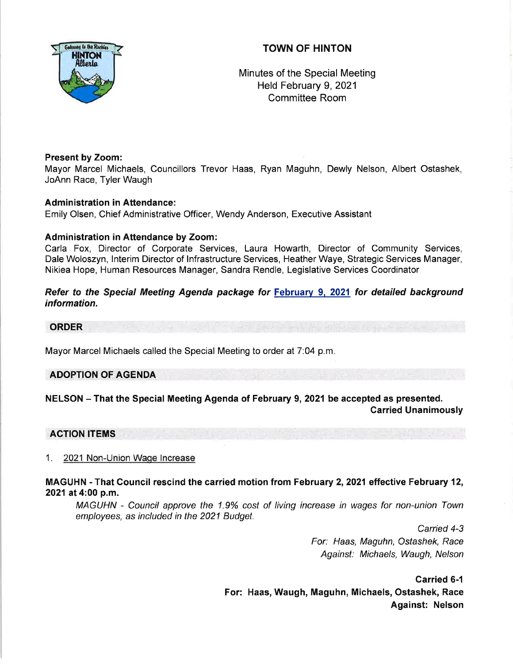# TOWN OF HINTON



Minutes of the Special Meeting Held February 9, 2021 Committee Room

## Present by Zoom:

Mayor Marcel Michaels, Councillors Trevor Haas, Ryan Maguhn, Dewly Nelson, Albert Ostashek, JoAnn Race, Tyler Waugh

## Administration in Attendance:

Emily Olsen, Chief Administrative Officer, Wendy Anderson, Executive Assistant

## Administration in Attendance by Zoom:

Carla Fox, Director of Corporate Services, Laura Howarth, Director of Community Services, Dale Woloszyn, lnterim Director of lnfrastructure Services, Heather Waye, Strategic Services Manager, Nikiea Hope, Human Resources Manager, Sandra Rendle, Legislative Services Coordinator

Refer to the Special Meeting Agenda package for February 9, 2021 for detailed background information.

#### ORDER

Mayor Marcel Michaels called the Special Meeting to order at 7:04 p.m.

### ADOPTION OF AGENDA

## NELSON - That the Special Meeting Agenda of February 9, 2021 be accepted as presented. Carried Unanimously

### AGTION ITEMS

### 1. 2021 Non-Union Wage lncrease

## MAGUHN - That Council rescind the carried motion from February 2, 2021 effective February 12, 2021 at 4:00 p.m.

MAGUHN - Council approve the 1.9% cost of living increase in wages for non-union Town employees, as included in the 2021 Budget.

> Carried 4-3 For: Haas, Maguhn, Ostashek, Race Against: Michaels, Waugh, Ne/son

Carried 6-1 For: Haas, Waugh, Maguhn, Michaels, Ostashek, Race Against: Nelson